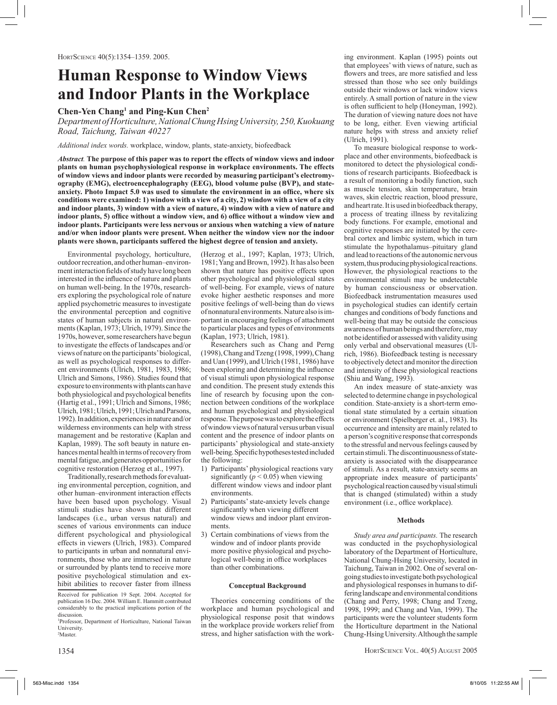# **Human Response to Window Views and Indoor Plants in the Workplace**

## **Chen-Yen Chang1 and Ping-Kun Chen2**

*Department of Horticulture, National Chung Hsing University, 250, Kuokuang Road, Taichung, Taiwan 40227*

*Additional index words.* workplace, window, plants, state-anxiety, biofeedback

*Abstract.* **The purpose of this paper was to report the effects of window views and indoor plants on human psychophysiological response in workplace environments. The effects of window views and indoor plants were recorded by measuring participant's electromyography (EMG), electroencephalography (EEG), blood volume pulse (BVP), and stateanxiety. Photo Impact 5.0 was used to simulate the environment in an office, where six conditions were examined: 1) window with a view of a city, 2) window with a view of a city and indoor plants, 3) window with a view of nature, 4) window with a view of nature and indoor plants, 5) office without a window view, and 6) office without a window view and indoor plants. Participants were less nervous or anxious when watching a view of nature and/or when indoor plants were present. When neither the window view nor the indoor plants were shown, participants suffered the highest degree of tension and anxiety.**

Environmental psychology, horticulture, outdoor recreation, and other human–environment interaction fields of study have long been interested in the influence of nature and plants on human well-being. In the 1970s, researchers exploring the psychological role of nature applied psychometric measures to investigate the environmental perception and cognitive states of human subjects in natural environments (Kaplan, 1973; Ulrich, 1979). Since the 1970s, however, some researchers have begun to investigate the effects of landscapes and/or views of nature on the participants' biological, as well as psychological responses to different environments (Ulrich, 1981, 1983, 1986; Ulrich and Simons, 1986). Studies found that exposure to environments with plants can have both physiological and psychological benefits (Hartig et al., 1991; Ulrich and Simons, 1986; Ulrich, 1981; Ulrich, 1991; Ulrich and Parsons, 1992). In addition, experiences in nature and/or wilderness environments can help with stress management and be restorative (Kaplan and Kaplan, 1989). The soft beauty in nature enhances mental health in terms of recovery from mental fatigue, and generates opportunities for cognitive restoration (Herzog et al., 1997).

Traditionally, research methods for evaluating environmental perception, cognition, and other human–environment interaction effects have been based upon psychology. Visual stimuli studies have shown that different landscapes (i.e., urban versus natural) and scenes of various environments can induce different psychological and physiological effects in viewers (Ulrich, 1983). Compared to participants in urban and nonnatural environments, those who are immersed in nature or surrounded by plants tend to receive more positive psychological stimulation and exhibit abilities to recover faster from illness (Herzog et al., 1997; Kaplan, 1973; Ulrich, 1981; Yang and Brown, 1992). It has also been shown that nature has positive effects upon other psychological and physiological states of well-being. For example, views of nature evoke higher aesthetic responses and more positive feelings of well-being than do views of nonnatural environments. Nature also is important in encouraging feelings of attachment to particular places and types of environments (Kaplan, 1973; Ulrich, 1981).

Researchers such as Chang and Perng (1998), Chang and Tzeng (1998, 1999), Chang and Uan (1999), and Ulrich (1981, 1986) have been exploring and determining the influence of visual stimuli upon physiological response and condition. The present study extends this line of research by focusing upon the connection between conditions of the workplace and human psychological and physiological response. The purpose was to explore the effects of window views of natural versus urban visual content and the presence of indoor plants on participants' physiological and state-anxiety well-being. Specific hypotheses tested included the following:

- 1) Participants' physiological reactions vary significantly  $(p < 0.05)$  when viewing different window views and indoor plant environments.
- 2) Participants' state-anxiety levels change significantly when viewing different window views and indoor plant environments.
- 3) Certain combinations of views from the window and of indoor plants provide more positive physiological and psychological well-being in office workplaces than other combinations.

### **Conceptual Background**

Theories concerning conditions of the workplace and human psychological and physiological response posit that windows in the workplace provide workers relief from stress, and higher satisfaction with the working environment. Kaplan (1995) points out that employees' with views of nature, such as flowers and trees, are more satisfied and less stressed than those who see only buildings outside their windows or lack window views entirely. A small portion of nature in the view is often sufficient to help (Honeyman, 1992). The duration of viewing nature does not have to be long, either. Even viewing artificial nature helps with stress and anxiety relief (Ulrich, 1991).

To measure biological response to workplace and other environments, biofeedback is monitored to detect the physiological conditions of research participants. Biofeedback is a result of monitoring a bodily function, such as muscle tension, skin temperature, brain waves, skin electric reaction, blood pressure, and heart rate. It is used in biofeedback therapy, a process of treating illness by revitalizing body functions. For example, emotional and cognitive responses are initiated by the cerebral cortex and limbic system, which in turn stimulate the hypothalamus–pituitary gland and lead to reactions of the autonomic nervous system, thus producing physiological reactions. However, the physiological reactions to the environmental stimuli may be undetectable by human consciousness or observation. Biofeedback instrumentation measures used in psychological studies can identify certain changes and conditions of body functions and well-being that may be outside the conscious awareness of human beings and therefore, may not be identified or assessed with validity using only verbal and observational measures (Ulrich, 1986). Biofeedback testing is necessary to objectively detect and monitor the direction and intensity of these physiological reactions (Shiu and Wang, 1993).

An index measure of state-anxiety was selected to determine change in psychological condition. State-anxiety is a short-term emotional state stimulated by a certain situation or environment (Spielberger et. al., 1983). Its occurrence and intensity are mainly related to a person's cognitive response that corresponds to the stressful and nervous feelings caused by certain stimuli. The discontinuousness of stateanxiety is associated with the disappearance of stimuli. As a result, state-anxiety seems an appropriate index measure of participants' psychological reaction caused by visual stimuli that is changed (stimulated) within a study environment (i.e., office workplace).

#### **Methods**

*Study area and participants.* The research was conducted in the psychophysiological laboratory of the Department of Horticulture, National Chung-Hsing University, located in Taichung, Taiwan in 2002. One of several ongoing studies to investigate both psychological and physiological responses in humans to differing landscape and environmental conditions (Chang and Perry, 1998; Chang and Tzeng, 1998, 1999; and Chang and Van, 1999). The participants were the volunteer students form the Horticulture department in the National Chung-Hsing University. Although the sample

Received for publication 19 Sept. 2004. Accepted for publication 16 Dec. 2004. William E. Hammitt contributed considerably to the practical implications portion of the discussion

<sup>1</sup> Professor, Department of Horticulture, National Taiwan University. 2 Master.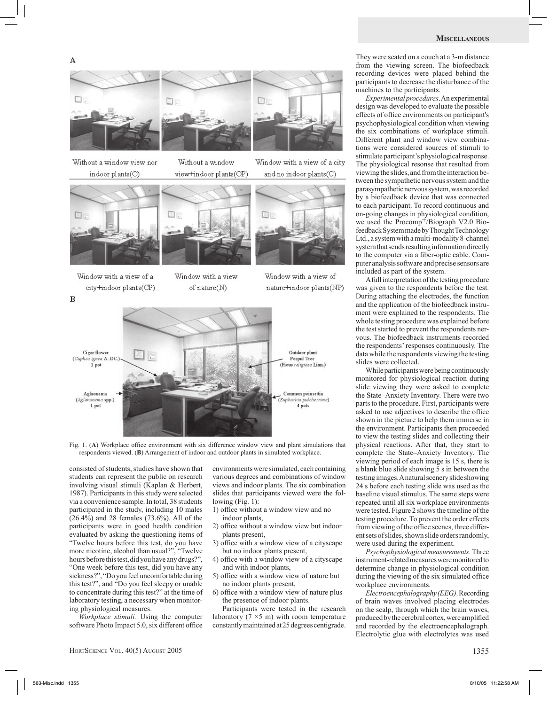A



Without a window view nor indoor plants(O)



Window with a view of a

city+indoor plants(CP)



Without a window view+indoor plants(OP) Window with a view of a city and no indoor plants(C)

国に



Window with a view of nature+indoor plants(NP)



Window with a view

of nature(N)

Fig. 1. (**A**) Workplace office environment with six difference window view and plant simulations that respondents viewed. (**B**) Arrangement of indoor and outdoor plants in simulated workplace.

consisted of students, studies have shown that students can represent the public on research involving visual stimuli (Kaplan & Herbert, 1987). Participants in this study were selected via a convenience sample. In total, 38 students participated in the study, including 10 males  $(26.4\%)$  and 28 females  $(73.6\%)$ . All of the participants were in good health condition evaluated by asking the questioning items of "Twelve hours before this test, do you have more nicotine, alcohol than usual?", "Twelve hours before this test, did you have any drugs?", "One week before this test, did you have any sickness?", "Do you feel uncomfortable during this test?", and "Do you feel sleepy or unable to concentrate during this test?" at the time of laboratory testing, a necessary when monitoring physiological measures.

*Workplace stimuli.* Using the computer software Photo Impact 5.0, six different office environments were simulated, each containing various degrees and combinations of window views and indoor plants. The six combination slides that participants viewed were the following (Fig. 1):

- 1) office without a window view and no indoor plants,
- 2) office without a window view but indoor plants present,
- 3) office with a window view of a cityscape but no indoor plants present,
- 4) office with a window view of a cityscape and with indoor plants,
- 5) office with a window view of nature but no indoor plants present,
- 6) office with a window view of nature plus the presence of indoor plants.

Participants were tested in the research laboratory  $(7 \times 5 \text{ m})$  with room temperature constantly maintained at 25 degrees centigrade.

They were seated on a couch at a 3-m distance from the viewing screen. The biofeedback recording devices were placed behind the participants to decrease the disturbance of the machines to the participants.

*Experimental procedures*. An experimental design was developed to evaluate the possible effects of office environments on participant's psychophysiological condition when viewing the six combinations of workplace stimuli. Different plant and window view combinations were considered sources of stimuli to stimulate participant's physiological response. The physiological resonse that resulted from viewing the slides, and from the interaction between the sympathetic nervous system and the parasympathetic nervous system, was recorded by a biofeedback device that was connected to each participant. To record continuous and on-going changes in physiological condition, we used the Procomp<sup>+</sup>/Biograph V2.0 Biofeedback System made by Thought Technology Ltd., a system with a multi-modality 8-channel system that sends resulting information directly to the computer via a fiber-optic cable. Computer analysis software and precise sensors are included as part of the system.

A full interpretation of the testing procedure was given to the respondents before the test. During attaching the electrodes, the function and the application of the biofeedback instrument were explained to the respondents. The whole testing procedure was explained before the test started to prevent the respondents nervous. The biofeedback instruments recorded the respondents' responses continuously. The data while the respondents viewing the testing slides were collected.

While participants were being continuously monitored for physiological reaction during slide viewing they were asked to complete the State–Anxiety Inventory. There were two parts to the procedure. First, participants were asked to use adjectives to describe the office shown in the picture to help them immerse in the environment. Participants then proceeded to view the testing slides and collecting their physical reactions. After that, they start to complete the State–Anxiety Inventory. The viewing period of each image is 15 s, there is a blank blue slide showing 5 s in between the testing images. A natural scenery slide showing 24 s before each testing slide was used as the baseline visual stimulus. The same steps were repeated until all six workplace environments were tested. Figure 2 shows the timeline of the testing procedure. To prevent the order effects from viewing of the office scenes, three different sets of slides, shown slide orders randomly, were used during the experiment.

*Psychophysiological measurements.* Three instrument-related measures were monitored to determine change in physiological condition during the viewing of the six simulated office workplace environments.

*Electroencephalography (EEG)*. Recording of brain waves involved placing electrodes on the scalp, through which the brain waves, produced by the cerebral cortex, were amplified and recorded by the electroencephalograph. Electrolytic glue with electrolytes was used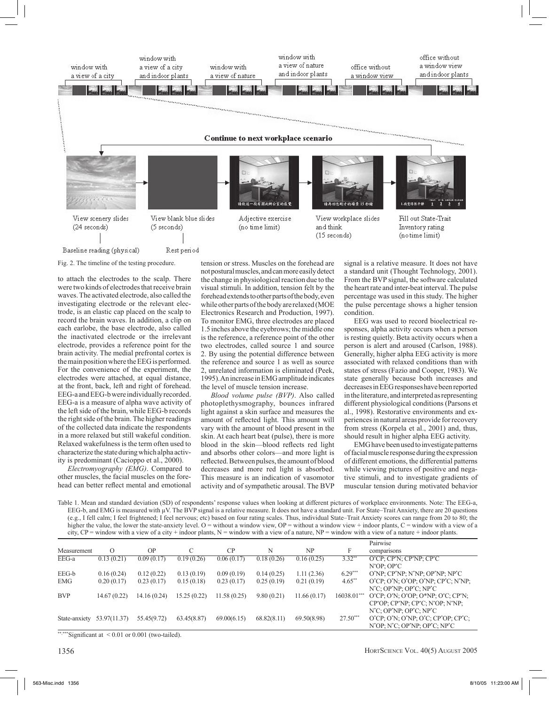

Fig. 2. The timeline of the testing procedure.

to attach the electrodes to the scalp. There were two kinds of electrodes that receive brain waves. The activated electrode, also called the investigating electrode or the relevant electrode, is an elastic cap placed on the scalp to record the brain waves. In addition, a clip on each earlobe, the base electrode, also called the inactivated electrode or the irrelevant electrode, provides a reference point for the brain activity. The medial prefrontal cortex is the main position where the EEG is performed. For the convenience of the experiment, the electrodes were attached, at equal distance, at the front, back, left and right of forehead. EEG-a and EEG-b were individually recorded. EEG-a is a measure of alpha wave activity of the left side of the brain, while EEG-b records the right side of the brain. The higher readings of the collected data indicate the respondents in a more relaxed but still wakeful condition. Relaxed wakefulness is the term often used to characterize the state during which alpha activity is predominant (Cacioppo et al., 2000).

*Electromyography (EMG)*. Compared to other muscles, the facial muscles on the forehead can better reflect mental and emotional tension or stress. Muscles on the forehead are not postural muscles, and can more easily detect the change in physiological reaction due to the visual stimuli. In addition, tension felt by the forehead extends to other parts of the body, even while other parts of the body are relaxed (MOE Electronics Research and Production, 1997). To monitor EMG, three electrodes are placed 1.5 inches above the eyebrows; the middle one is the reference, a reference point of the other two electrodes, called source 1 and source 2. By using the potential difference between the reference and source 1 as well as source 2, unrelated information is eliminated (Peek, 1995). An increase in EMG amplitude indicates the level of muscle tension increase.

*Blood volume pulse (BVP)*. Also called photoplethysmography, bounces infrared light against a skin surface and measures the amount of reflected light. This amount will vary with the amount of blood present in the skin. At each heart beat (pulse), there is more blood in the skin—blood reflects red light and absorbs other colors—and more light is reflected. Between pulses, the amount of blood decreases and more red light is absorbed. This measure is an indication of vasomotor activity and of sympathetic arousal. The BVP signal is a relative measure. It does not have a standard unit (Thought Technology, 2001). From the BVP signal, the software calculated the heart rate and inter-beat interval. The pulse percentage was used in this study. The higher the pulse percentage shows a higher tension condition.

EEG was used to record bioelectrical responses, alpha activity occurs when a person is resting quietly. Beta activity occurs when a person is alert and aroused (Carlson, 1988). Generally, higher alpha EEG activity is more associated with relaxed conditions than with states of stress (Fazio and Cooper, 1983). We state generally because both increases and decreases in EEG responses have been reported in the literature, and interpreted as representing different physiological conditions (Parsons et al., 1998). Restorative environments and experiences in natural areas provide for recovery from stress (Korpela et al., 2001) and, thus, should result in higher alpha EEG activity.

EMG have been used to investigate patterns of facial muscle response during the expression of different emotions, the differential patterns while viewing pictures of positive and negative stimuli, and to investigate gradients of muscular tension during motivated behavior

Table 1. Mean and standard deviation (SD) of respondents' response values when looking at different pictures of workplace environments. Note: The EEG-a, EEG-b, and EMG is measured with  $\mu$ V. The BVP signal is a relative measure. It does not have a standard unit. For State–Trait Anxiety, there are 20 questions (e.g., I fell calm; I feel frightened; I feel nervous; etc) based on four rating scales. Thus, individual State–Trait Anxiety scores can range from 20 to 80; the higher the value, the lower the state-anxiety level. O = without a window view, OP = without a window view + indoor plants, C = window with a view of a city, CP = window with a view of a city + indoor plants, N = window with a view of a nature, NP = window with a view of a nature + indoor plants.

|               |              |              |             |             |             |             |             | Pairwise                                                                                 |
|---------------|--------------|--------------|-------------|-------------|-------------|-------------|-------------|------------------------------------------------------------------------------------------|
| Measurement   | $\Omega$     | OP           |             | CP          | N           | NP          | F           | comparisons                                                                              |
| EEG-a         | 0.13(0.21)   | 0.09(0.17)   | 0.19(0.26)  | 0.06(0.17)  | 0.18(0.26)  | 0.16(0.25)  | $3.32**$    | $O^{\ast}CP$ ; $CP^{\ast}N$ ; $CP^{\ast}NP$ ; $CP^{\ast}C$                               |
|               |              |              |             |             |             |             |             | $N^*OP$ : $OP^*C$                                                                        |
| EEG-b         | 0.16(0.24)   | 0.12(0.22)   | 0.13(0.19)  | 0.09(0.19)  | 0.14(0.25)  | 1.11(2.36)  | $6.29***$   | O'NP; CP'NP; N'NP; OP'NP; NP'C                                                           |
| <b>EMG</b>    | 0.20(0.17)   | 0.23(0.17)   | 0.15(0.18)  | 0.23(0.17)  | 0.25(0.19)  | 0.21(0.19)  | $4.65**$    | $O^{\ast}CP$ ; $O^{\ast}N$ ; $O^{\ast}OP$ ; $O^{\ast}NP$ ; $CP^{\ast}C$ ; $N^{\ast}NP$ ; |
|               |              |              |             |             |             |             |             | $N^{\ast}C$ ; OP $^{\ast}NP$ ; OP $^{\ast}C$ ; NP $^{\ast}C$                             |
| <b>BVP</b>    | 14.67(0.22)  | 14.16 (0.24) | 15.25(0.22) | 11.58(0.25) | 9.80(0.21)  | 11.66(0.17) | 16038.01*** | $O^{\ast}CP$ ; $O^{\ast}N$ ; $O^{\ast}OP$ ; $O^{\ast}NP$ ; $O^{\ast}C$ ; $CP^{\ast}N$ ;  |
|               |              |              |             |             |             |             |             | $CP^*OP$ ; $CP^*NP$ ; $CP^*C$ ; $N^*OP$ ; $N^*NP$ ;                                      |
|               |              |              |             |             |             |             |             | $N^{\ast}C$ ; OP $^{\ast}NP$ ; OP $^{\ast}C$ ; NP $^{\ast}C$                             |
| State-anxiety | 53.97(11.37) | 55.45(9.72)  | 63.45(8.87) | 69.00(6.15) | 68.82(8.11) | 69.50(8.98) | $27.50***$  | $O^{\ast}CP$ ; $O^{\ast}N$ ; $O^{\ast}NP$ ; $O^{\ast}C$ ; $CP^{\ast}OP$ ; $CP^{\ast}C$ ; |
|               |              |              |             |             |             |             |             | $N^*OP$ ; $N^*C$ ; $OP^*NP$ ; $OP^*C$ ; $NP^*C$                                          |

\*\*,\*\*\*Significant at  $\leq 0.01$  or 0.001 (two-tailed).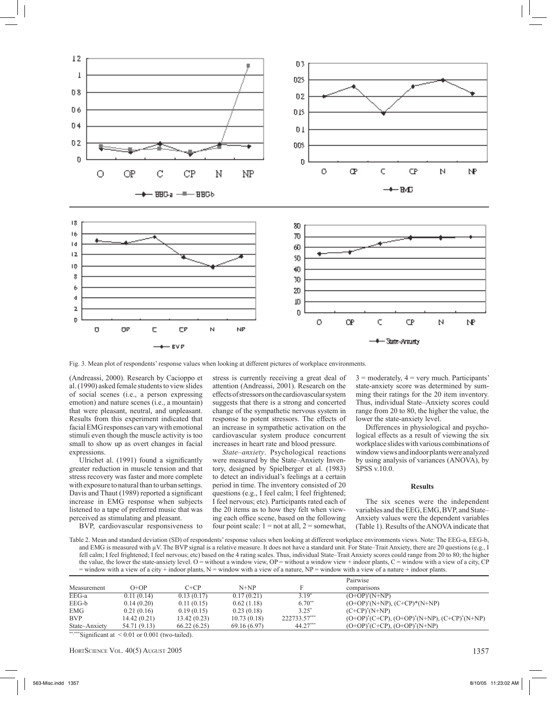

Fig. 3. Mean plot of respondents' response values when looking at different pictures of workplace environments.

(Andreassi, 2000). Research by Cacioppo et al. (1990) asked female students to view slides of social scenes (i.e., a person expressing emotion) and nature scenes (i.e., a mountain) that were pleasant, neutral, and unpleasant. Results from this experiment indicated that facial EMG responses can vary with emotional stimuli even though the muscle activity is too small to show up as overt changes in facial expressions.

Ulrichet al. (1991) found a significantly greater reduction in muscle tension and that stress recovery was faster and more complete with exposure to natural than to urban settings. Davis and Thaut (1989) reported a significant increase in EMG response when subjects listened to a tape of preferred music that was perceived as stimulating and pleasant.

BVP, cardiovascular responsiveness to

stress is currently receiving a great deal of attention (Andreassi, 2001). Research on the effects of stressors on the cardiovascular system suggests that there is a strong and concerted change of the sympathetic nervous system in response to potent stressors. The effects of an increase in sympathetic activation on the cardiovascular system produce concurrent increases in heart rate and blood pressure.

*State–anxiety*. Psychological reactions were measured by the State–Anxiety Inventory, designed by Spielberger et al. (1983) to detect an individual's feelings at a certain period in time. The inventory consisted of 20 questions (e.g., I feel calm; I feel frightened; I feel nervous; etc). Participants rated each of the 20 items as to how they felt when viewing each office scene, based on the following four point scale:  $1 = not at all, 2 = somewhat,$ 

 $3 =$  moderately,  $4 =$  very much. Participants' state-anxiety score was determined by summing their ratings for the 20 item inventory. Thus, individual State–Anxiety scores could range from 20 to 80, the higher the value, the lower the state-anxiety level.

Differences in physiological and psychological effects as a result of viewing the six workplace slides with various combinations of window views and indoor plants were analyzed by using analysis of variances (ANOVA), by SPSS v.10.0.

#### **Results**

The six scenes were the independent variables and the EEG, EMG, BVP, and State– Anxiety values were the dependent variables (Table 1). Results of the ANOVA indicate that

Table 2. Mean and standard deviation (SD) of respondents' response values when looking at different workplace environments views. Note: The EEG-a, EEG-b, and EMG is measured with  $\mu$ V. The BVP signal is a relative measure. It does not have a standard unit. For State–Trait Anxiety, there are 20 questions (e.g., I fell calm; I feel frightened; I feel nervous; etc) based on the 4 rating scales. Thus, individual State–Trait Anxiety scores could range from 20 to 80; the higher the value, the lower the state-anxiety level. O = without a window view, OP = without a window view + indoor plants,  $C$  = window with a view of a city, CP  $=$  window with a view of a city + indoor plants, N  $=$  window with a view of a nature, NP  $=$  window with a view of a nature + indoor plants.

|               |              |             |              |              | Pairwise                                               |
|---------------|--------------|-------------|--------------|--------------|--------------------------------------------------------|
| Measurement   | $O+OP$       | C+CP        | $N+NP$       |              | comparisons                                            |
| EEG-a         | 0.11(0.14)   | 0.13(0.17)  | 0.17(0.21)   | 3.19*        | $(O+OP)^*(N+NP)$                                       |
| EEG-b         | 0.14(0.20)   | 0.11(0.15)  | 0.62(1.18)   | $6.70**$     | $(O+OP)^*(N+NP)$ , $(C+CP)^*(N+NP)$                    |
| EMG           | 0.21(0.16)   | 0.19(0.15)  | 0.23(0.18)   | $3.25*$      | $(C+CP)^*(N+NP)$                                       |
| <b>BVP</b>    | 14.42(0.21)  | 13.42(0.23) | 10.73(0.18)  | 222733.57*** | $(O+OP)^*(C+CP)$ , $(O+OP)^*(N+NP)$ , $(C+CP)^*(N+NP)$ |
| State-Anxiety | 54.71 (9.13) | 66.22(6.25) | 69.16 (6.97) | 44.27***     | $(O+OP)^*(C+CP)$ , $(O+OP)^*(N+NP)$                    |

\*\*,\*\*\*Significant at  $\leq 0.01$  or 0.001 (two-tailed).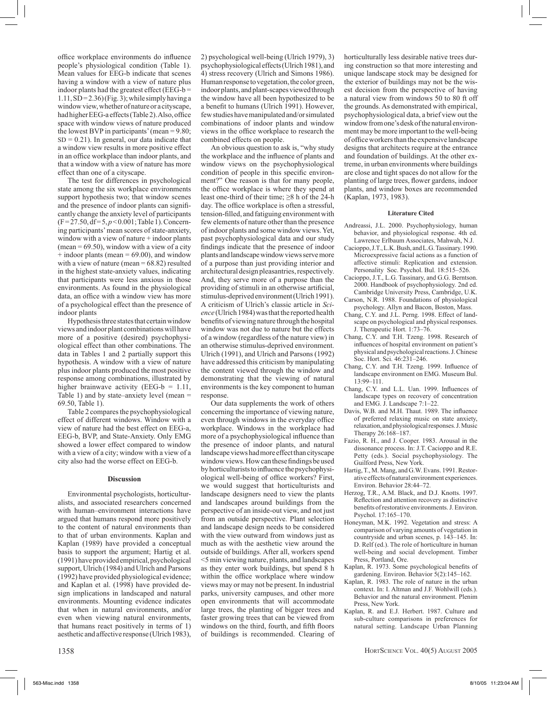office workplace environments do influence people's physiological condition (Table 1). Mean values for EEG-b indicate that scenes having a window with a view of nature plus indoor plants had the greatest effect (EEG-b  $=$  $1.11, SD = 2.36$  (Fig. 3); while simply having a window view, whether of nature or a cityscape, had higher EEG-a effects (Table 2).Also, office space with window views of nature produced the lowest BVP in participants' (mean  $= 9.80$ ;  $SD = 0.21$ ). In general, our data indicate that a window view results in more positive effect in an office workplace than indoor plants, and that a window with a view of nature has more effect than one of a cityscape.

The test for differences in psychological state among the six workplace environments support hypothesis two; that window scenes and the presence of indoor plants can significantly change the anxiety level of participants  $(F = 27.50, df = 5, p < 0.001$ ; Table 1). Concerning participants' mean scores of state-anxiety, window with a view of nature + indoor plants  $(mean = 69.50)$ , window with a view of a city  $+$  indoor plants (mean  $= 69.00$ ), and window with a view of nature (mean  $= 68.82$ ) resulted in the highest state-anxiety values, indicating that participants were less anxious in those environments. As found in the physiological data, an office with a window view has more of a psychological effect than the presence of indoor plants

Hypothesis three states that certain window views and indoor plant combinations will have more of a positive (desired) psychophysiological effect than other combinations. The data in Tables 1 and 2 partially support this hypothesis. A window with a view of nature plus indoor plants produced the most positive response among combinations, illustrated by higher brainwave activity (EEG-b =  $1.11$ , Table 1) and by state–anxiety level (mean = 69.50, Table 1).

Table 2 compares the psychophysiological effect of different windows. Window with a view of nature had the best effect on EEG-a, EEG-b, BVP, and State-Anxiety. Only EMG showed a lower effect compared to window with a view of a city; window with a view of a city also had the worse effect on EEG-b.

#### **Discussion**

Environmental psychologists, horticulturalists, and associated researchers concerned with human–environment interactions have argued that humans respond more positively to the content of natural environments than to that of urban environments. Kaplan and Kaplan (1989) have provided a conceptual basis to support the argument; Hartig et al. (1991) have provided empirical, psychological support, Ulrich (1984) and Ulrich and Parsons (1992) have provided physiological evidence; and Kaplan et al. (1998) have provided design implications in landscaped and natural environments. Mounting evidence indicates that when in natural environments, and/or even when viewing natural environments, that humans react positively in terms of 1) aesthetic and affective response (Ulrich 1983), 2) psychological well-being (Ulrich 1979), 3) psychophysiological effects (Ulrich 1981), and 4) stress recovery (Ulrich and Simons 1986). Human response to vegetation, the color green, indoor plants, and plant-scapes viewed through the window have all been hypothesized to be a benefit to humans (Ulrich 1991). However, few studies have manipulated and/or simulated combinations of indoor plants and window views in the office workplace to research the combined effects on people.

An obvious question to ask is, "why study the workplace and the influence of plants and window views on the psychophysiological condition of people in this specific environment?" One reason is that for many people, the office workplace is where they spend at least one-third of their time;  $\geq 8$  h of the 24-h day. The office workplace is often a stressful, tension-filled, and fatiguing environment with few elements of nature other than the presence of indoor plants and some window views. Yet, past psychophysiological data and our study findings indicate that the presence of indoor plants and landscape window views serve more of a purpose than just providing interior and architectural design pleasantries, respectively. And, they serve more of a purpose than the providing of stimuli in an otherwise artificial, stimulus-deprived environment (Ulrich 1991). A criticism of Ulrich's classic article in *Science* (Ulrich 1984) was that the reported health benefits of viewing nature through the hospital window was not due to nature but the effects of a window (regardless of the nature view) in an otherwise stimulus-deprived environment. Ulrich (1991), and Ulrich and Parsons (1992) have addressed this criticism by manipulating the content viewed through the window and demonstrating that the viewing of natural environments is the key component to human response.

Our data supplements the work of others concerning the importance of viewing nature, even through windows in the everyday office workplace. Windows in the workplace had more of a psychophysiological influence than the presence of indoor plants, and natural landscape views had more effect than cityscape window views. How can these findings be used by horticulturists to influence the psychophysiological well-being of office workers? First, we would suggest that horticulturists and landscape designers need to view the plants and landscapes around buildings from the perspective of an inside-out view, and not just from an outside perspective. Plant selection and landscape design needs to be considered with the view outward from windows just as much as with the aesthetic view around the outside of buildings. After all, workers spend <5 min viewing nature, plants, and landscapes as they enter work buildings, but spend 8 h within the office workplace where window views may or may not be present. In industrial parks, university campuses, and other more open environments that will accommodate large trees, the planting of bigger trees and faster growing trees that can be viewed from windows on the third, fourth, and fifth floors of buildings is recommended. Clearing of horticulturally less desirable native trees during construction so that more interesting and unique landscape stock may be designed for the exterior of buildings may not be the wisest decision from the perspective of having a natural view from windows 50 to 80 ft off the grounds. As demonstrated with empirical, psychophysiological data, a brief view out the window from one's desk of the natural environment may be more important to the well-being of office workers than the expensive landscape designs that architects require at the entrance and foundation of buildings. At the other extreme, in urban environments where buildings are close and tight spaces do not allow for the planting of large trees, flower gardens, indoor plants, and window boxes are recommended (Kaplan, 1973, 1983).

#### **Literature Cited**

- Andreassi, J.L. 2000. Psychophysiology, human behavior, and physiological response. 4th ed. Lawrence Erlbaum Associates, Mahwah, N.J.
- Cacioppo, J.T., L.K. Bush, and L.G. Tassinary. 1990. Microexpressive facial actions as a function of affective stimuli: Replication and extension. Personality Soc. Psychol. Bul. 18:515–526.
- Cacioppo, J.T., L.G. Tassinary, and G.G. Berntson. 2000. Handbook of psychophysiology. 2nd ed. Cambridge University Press, Cambridge, U.K.
- Carson, N.R. 1988. Foundations of physiological psychology. Allyn and Bacon, Boston, Mass.
- Chang, C.Y. and J.L. Perng. 1998. Effect of landscape on psychological and physical responses. J. Therapeutic Hort. 1:73–76.
- Chang, C.Y. and T.H. Tzeng. 1998. Research of influences of hospital environment on patient's physical and psychological reactions. J. Chinese Soc. Hort. Sci. 46:231–246.
- Chang, C.Y. and T.H. Tzeng. 1999. Influence of landscape environment on EMG. Museum Bul. 13:99–111.
- Chang, C.Y. and L.L. Uan. 1999. Influences of landscape types on recovery of concentration and EMG. J. Landscape 7:1–22.
- Davis, W.B. and M.H. Thaut. 1989. The influence of preferred relaxing music on state anxiety, relaxation, and physiological responses. J. Music Therapy 26:168–187.
- Fazio, R. H., and J. Cooper. 1983. Arousal in the dissonance process. In: J.T. Cacioppo and R.E. Petty (eds.). Social psychophysiology. The Guilford Press, New York.
- Hartig, T., M. Mang, and G.W. Evans. 1991. Restorative effects of natural environment experiences. Environ. Behavior 28:44–72.
- Herzog, T.R., A.M. Black, and D.J. Knotts. 1997. Reflection and attention recovery as distinctive benefits of restorative environments. J. Environ. Psychol. 17:165–170.
- Honeyman, M.K. 1992. Vegetation and stress: A comparison of varying amounts of vegetation in countryside and urban scenes, p. 143–145. In: D. Relf (ed.). The role of horticulture in human well-being and social development. Timber Press, Portland, Ore.
- Kaplan, R. 1973. Some psychological benefits of gardening. Environ. Behavior 5(2):145–162.
- Kaplan, R. 1983. The role of nature in the urban context. In: I. Altman and J.F. Wohlwill (eds.). Behavior and the natural environment. Plenim Press, New York.
- Kaplan, R. and E.J. Herbert. 1987. Culture and sub-culture comparisons in preferences for natural setting. Landscape Urban Planning